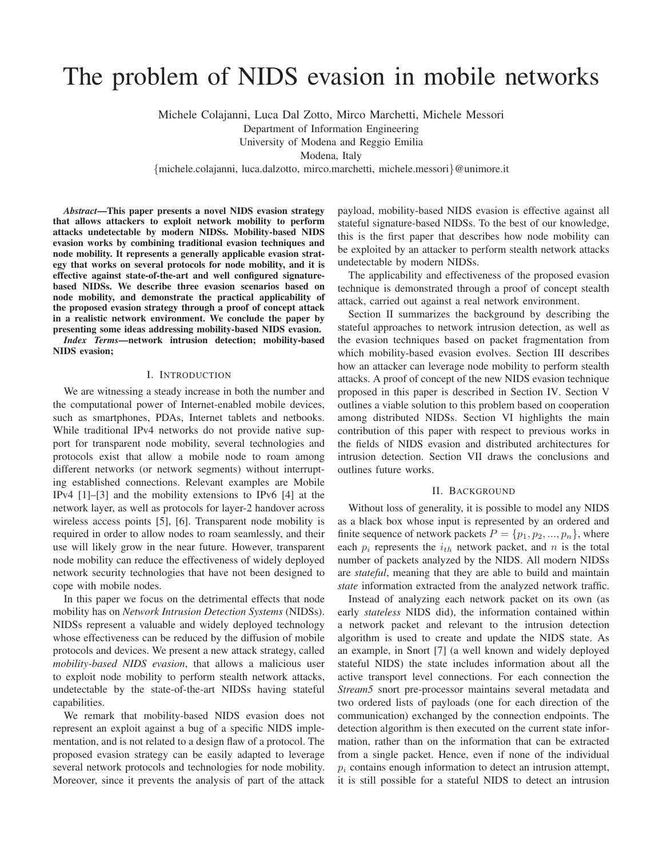# The problem of NIDS evasion in mobile networks

Michele Colajanni, Luca Dal Zotto, Mirco Marchetti, Michele Messori

Department of Information Engineering

University of Modena and Reggio Emilia

Modena, Italy

{michele.colajanni, luca.dalzotto, mirco.marchetti, michele.messori}@unimore.it

*Abstract***—This paper presents a novel NIDS evasion strategy that allows attackers to exploit network mobility to perform attacks undetectable by modern NIDSs. Mobility-based NIDS evasion works by combining traditional evasion techniques and node mobility. It represents a generally applicable evasion strategy that works on several protocols for node mobility, and it is effective against state-of-the-art and well configured signaturebased NIDSs. We describe three evasion scenarios based on node mobility, and demonstrate the practical applicability of the proposed evasion strategy through a proof of concept attack in a realistic network environment. We conclude the paper by presenting some ideas addressing mobility-based NIDS evasion.** *Index Terms***—network intrusion detection; mobility-based NIDS evasion;**

# I. INTRODUCTION

We are witnessing a steady increase in both the number and the computational power of Internet-enabled mobile devices, such as smartphones, PDAs, Internet tablets and netbooks. While traditional IPv4 networks do not provide native support for transparent node mobility, several technologies and protocols exist that allow a mobile node to roam among different networks (or network segments) without interrupting established connections. Relevant examples are Mobile IPv4 [1]–[3] and the mobility extensions to IPv6 [4] at the network layer, as well as protocols for layer-2 handover across wireless access points [5], [6]. Transparent node mobility is required in order to allow nodes to roam seamlessly, and their use will likely grow in the near future. However, transparent node mobility can reduce the effectiveness of widely deployed network security technologies that have not been designed to cope with mobile nodes.

In this paper we focus on the detrimental effects that node mobility has on *Network Intrusion Detection Systems* (NIDSs). NIDSs represent a valuable and widely deployed technology whose effectiveness can be reduced by the diffusion of mobile protocols and devices. We present a new attack strategy, called *mobility-based NIDS evasion*, that allows a malicious user to exploit node mobility to perform stealth network attacks, undetectable by the state-of-the-art NIDSs having stateful capabilities.

We remark that mobility-based NIDS evasion does not represent an exploit against a bug of a specific NIDS implementation, and is not related to a design flaw of a protocol. The proposed evasion strategy can be easily adapted to leverage several network protocols and technologies for node mobility. Moreover, since it prevents the analysis of part of the attack payload, mobility-based NIDS evasion is effective against all stateful signature-based NIDSs. To the best of our knowledge, this is the first paper that describes how node mobility can be exploited by an attacker to perform stealth network attacks undetectable by modern NIDSs.

The applicability and effectiveness of the proposed evasion technique is demonstrated through a proof of concept stealth attack, carried out against a real network environment.

Section II summarizes the background by describing the stateful approaches to network intrusion detection, as well as the evasion techniques based on packet fragmentation from which mobility-based evasion evolves. Section III describes how an attacker can leverage node mobility to perform stealth attacks. A proof of concept of the new NIDS evasion technique proposed in this paper is described in Section IV. Section V outlines a viable solution to this problem based on cooperation among distributed NIDSs. Section VI highlights the main contribution of this paper with respect to previous works in the fields of NIDS evasion and distributed architectures for intrusion detection. Section VII draws the conclusions and outlines future works.

## II. BACKGROUND

Without loss of generality, it is possible to model any NIDS as a black box whose input is represented by an ordered and finite sequence of network packets  $P = \{p_1, p_2, ..., p_n\}$ , where each  $p_i$  represents the  $i_{th}$  network packet, and  $n$  is the total number of packets analyzed by the NIDS. All modern NIDSs are *stateful*, meaning that they are able to build and maintain *state* information extracted from the analyzed network traffic.

Instead of analyzing each network packet on its own (as early *stateless* NIDS did), the information contained within a network packet and relevant to the intrusion detection algorithm is used to create and update the NIDS state. As an example, in Snort [7] (a well known and widely deployed stateful NIDS) the state includes information about all the active transport level connections. For each connection the *Stream5* snort pre-processor maintains several metadata and two ordered lists of payloads (one for each direction of the communication) exchanged by the connection endpoints. The detection algorithm is then executed on the current state information, rather than on the information that can be extracted from a single packet. Hence, even if none of the individual  $p_i$  contains enough information to detect an intrusion attempt, it is still possible for a stateful NIDS to detect an intrusion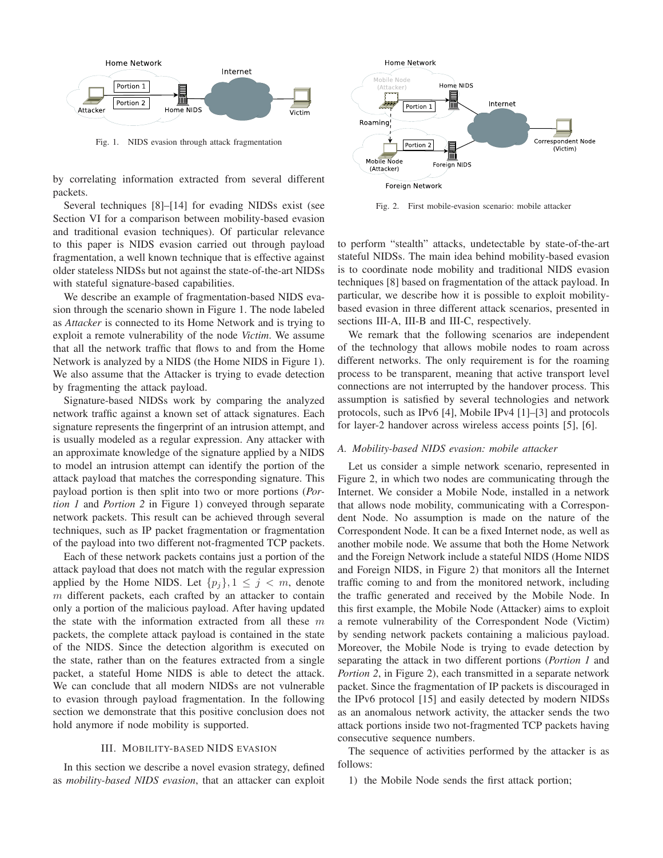

Fig. 1. NIDS evasion through attack fragmentation

by correlating information extracted from several different packets.

Several techniques [8]–[14] for evading NIDSs exist (see Section VI for a comparison between mobility-based evasion and traditional evasion techniques). Of particular relevance to this paper is NIDS evasion carried out through payload fragmentation, a well known technique that is effective against older stateless NIDSs but not against the state-of-the-art NIDSs with stateful signature-based capabilities.

We describe an example of fragmentation-based NIDS evasion through the scenario shown in Figure 1. The node labeled as *Attacker* is connected to its Home Network and is trying to exploit a remote vulnerability of the node *Victim*. We assume that all the network traffic that flows to and from the Home Network is analyzed by a NIDS (the Home NIDS in Figure 1). We also assume that the Attacker is trying to evade detection by fragmenting the attack payload.

Signature-based NIDSs work by comparing the analyzed network traffic against a known set of attack signatures. Each signature represents the fingerprint of an intrusion attempt, and is usually modeled as a regular expression. Any attacker with an approximate knowledge of the signature applied by a NIDS to model an intrusion attempt can identify the portion of the attack payload that matches the corresponding signature. This payload portion is then split into two or more portions (*Portion 1* and *Portion 2* in Figure 1) conveyed through separate network packets. This result can be achieved through several techniques, such as IP packet fragmentation or fragmentation of the payload into two different not-fragmented TCP packets.

Each of these network packets contains just a portion of the attack payload that does not match with the regular expression applied by the Home NIDS. Let  $\{p_i\}$ ,  $1 \leq j \leq m$ , denote *m* different packets, each crafted by an attacker to contain only a portion of the malicious payload. After having updated the state with the information extracted from all these *m* packets, the complete attack payload is contained in the state of the NIDS. Since the detection algorithm is executed on the state, rather than on the features extracted from a single packet, a stateful Home NIDS is able to detect the attack. We can conclude that all modern NIDSs are not vulnerable to evasion through payload fragmentation. In the following section we demonstrate that this positive conclusion does not hold anymore if node mobility is supported.

# III. MOBILITY-BASED NIDS EVASION

In this section we describe a novel evasion strategy, defined as *mobility-based NIDS evasion*, that an attacker can exploit



Fig. 2. First mobile-evasion scenario: mobile attacker

to perform "stealth" attacks, undetectable by state-of-the-art stateful NIDSs. The main idea behind mobility-based evasion is to coordinate node mobility and traditional NIDS evasion techniques [8] based on fragmentation of the attack payload. In particular, we describe how it is possible to exploit mobilitybased evasion in three different attack scenarios, presented in sections III-A, III-B and III-C, respectively.

We remark that the following scenarios are independent of the technology that allows mobile nodes to roam across different networks. The only requirement is for the roaming process to be transparent, meaning that active transport level connections are not interrupted by the handover process. This assumption is satisfied by several technologies and network protocols, such as IPv6 [4], Mobile IPv4 [1]–[3] and protocols for layer-2 handover across wireless access points [5], [6].

## *A. Mobility-based NIDS evasion: mobile attacker*

Let us consider a simple network scenario, represented in Figure 2, in which two nodes are communicating through the Internet. We consider a Mobile Node, installed in a network that allows node mobility, communicating with a Correspondent Node. No assumption is made on the nature of the Correspondent Node. It can be a fixed Internet node, as well as another mobile node. We assume that both the Home Network and the Foreign Network include a stateful NIDS (Home NIDS and Foreign NIDS, in Figure 2) that monitors all the Internet traffic coming to and from the monitored network, including the traffic generated and received by the Mobile Node. In this first example, the Mobile Node (Attacker) aims to exploit a remote vulnerability of the Correspondent Node (Victim) by sending network packets containing a malicious payload. Moreover, the Mobile Node is trying to evade detection by separating the attack in two different portions (*Portion 1* and *Portion 2*, in Figure 2), each transmitted in a separate network packet. Since the fragmentation of IP packets is discouraged in the IPv6 protocol [15] and easily detected by modern NIDSs as an anomalous network activity, the attacker sends the two attack portions inside two not-fragmented TCP packets having consecutive sequence numbers.

The sequence of activities performed by the attacker is as follows:

1) the Mobile Node sends the first attack portion;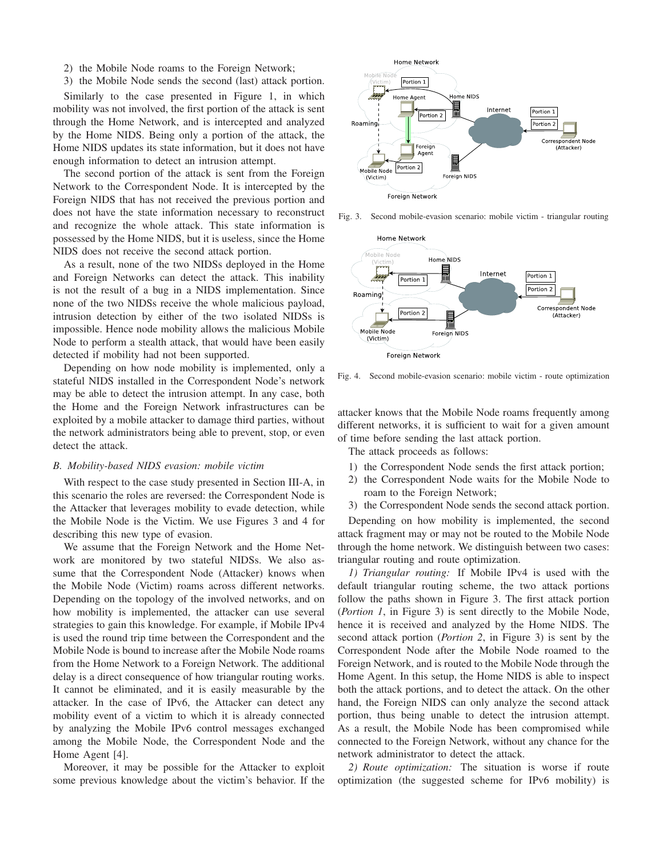- 2) the Mobile Node roams to the Foreign Network;
- 3) the Mobile Node sends the second (last) attack portion.

Similarly to the case presented in Figure 1, in which mobility was not involved, the first portion of the attack is sent through the Home Network, and is intercepted and analyzed by the Home NIDS. Being only a portion of the attack, the Home NIDS updates its state information, but it does not have enough information to detect an intrusion attempt.

The second portion of the attack is sent from the Foreign Network to the Correspondent Node. It is intercepted by the Foreign NIDS that has not received the previous portion and does not have the state information necessary to reconstruct and recognize the whole attack. This state information is possessed by the Home NIDS, but it is useless, since the Home NIDS does not receive the second attack portion.

As a result, none of the two NIDSs deployed in the Home and Foreign Networks can detect the attack. This inability is not the result of a bug in a NIDS implementation. Since none of the two NIDSs receive the whole malicious payload, intrusion detection by either of the two isolated NIDSs is impossible. Hence node mobility allows the malicious Mobile Node to perform a stealth attack, that would have been easily detected if mobility had not been supported.

Depending on how node mobility is implemented, only a stateful NIDS installed in the Correspondent Node's network may be able to detect the intrusion attempt. In any case, both the Home and the Foreign Network infrastructures can be exploited by a mobile attacker to damage third parties, without the network administrators being able to prevent, stop, or even detect the attack.

# *B. Mobility-based NIDS evasion: mobile victim*

With respect to the case study presented in Section III-A, in this scenario the roles are reversed: the Correspondent Node is the Attacker that leverages mobility to evade detection, while the Mobile Node is the Victim. We use Figures 3 and 4 for describing this new type of evasion.

We assume that the Foreign Network and the Home Network are monitored by two stateful NIDSs. We also assume that the Correspondent Node (Attacker) knows when the Mobile Node (Victim) roams across different networks. Depending on the topology of the involved networks, and on how mobility is implemented, the attacker can use several strategies to gain this knowledge. For example, if Mobile IPv4 is used the round trip time between the Correspondent and the Mobile Node is bound to increase after the Mobile Node roams from the Home Network to a Foreign Network. The additional delay is a direct consequence of how triangular routing works. It cannot be eliminated, and it is easily measurable by the attacker. In the case of IPv6, the Attacker can detect any mobility event of a victim to which it is already connected by analyzing the Mobile IPv6 control messages exchanged among the Mobile Node, the Correspondent Node and the Home Agent [4].

Moreover, it may be possible for the Attacker to exploit some previous knowledge about the victim's behavior. If the



Fig. 3. Second mobile-evasion scenario: mobile victim - triangular routing



Fig. 4. Second mobile-evasion scenario: mobile victim - route optimization

attacker knows that the Mobile Node roams frequently among different networks, it is sufficient to wait for a given amount of time before sending the last attack portion.

The attack proceeds as follows:

- 1) the Correspondent Node sends the first attack portion;
- 2) the Correspondent Node waits for the Mobile Node to roam to the Foreign Network;
- 3) the Correspondent Node sends the second attack portion.

Depending on how mobility is implemented, the second attack fragment may or may not be routed to the Mobile Node through the home network. We distinguish between two cases: triangular routing and route optimization.

*1) Triangular routing:* If Mobile IPv4 is used with the default triangular routing scheme, the two attack portions follow the paths shown in Figure 3. The first attack portion (*Portion 1*, in Figure 3) is sent directly to the Mobile Node, hence it is received and analyzed by the Home NIDS. The second attack portion (*Portion 2*, in Figure 3) is sent by the Correspondent Node after the Mobile Node roamed to the Foreign Network, and is routed to the Mobile Node through the Home Agent. In this setup, the Home NIDS is able to inspect both the attack portions, and to detect the attack. On the other hand, the Foreign NIDS can only analyze the second attack portion, thus being unable to detect the intrusion attempt. As a result, the Mobile Node has been compromised while connected to the Foreign Network, without any chance for the network administrator to detect the attack.

*2) Route optimization:* The situation is worse if route optimization (the suggested scheme for IPv6 mobility) is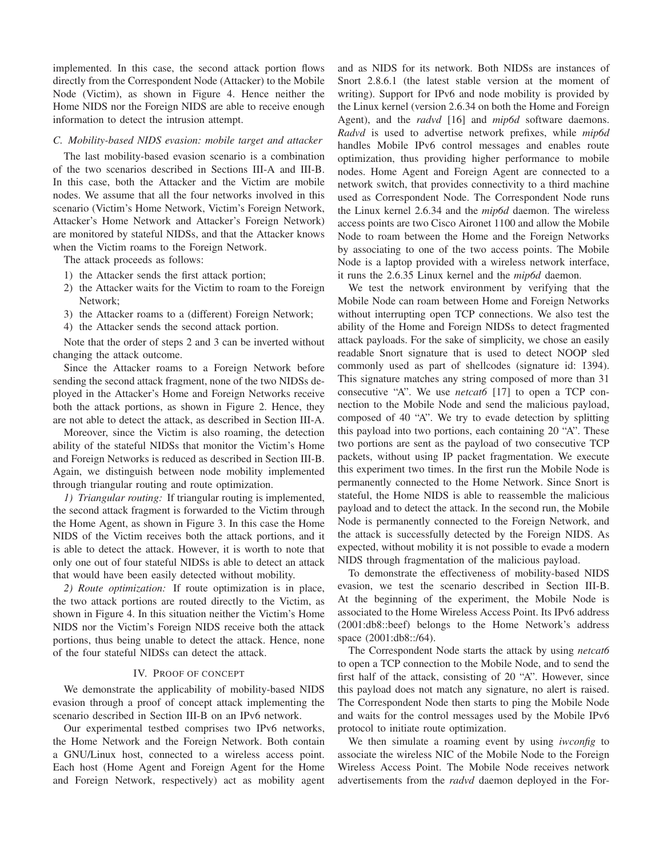implemented. In this case, the second attack portion flows directly from the Correspondent Node (Attacker) to the Mobile Node (Victim), as shown in Figure 4. Hence neither the Home NIDS nor the Foreign NIDS are able to receive enough information to detect the intrusion attempt.

# *C. Mobility-based NIDS evasion: mobile target and attacker*

The last mobility-based evasion scenario is a combination of the two scenarios described in Sections III-A and III-B. In this case, both the Attacker and the Victim are mobile nodes. We assume that all the four networks involved in this scenario (Victim's Home Network, Victim's Foreign Network, Attacker's Home Network and Attacker's Foreign Network) are monitored by stateful NIDSs, and that the Attacker knows when the Victim roams to the Foreign Network.

The attack proceeds as follows:

- 1) the Attacker sends the first attack portion;
- 2) the Attacker waits for the Victim to roam to the Foreign Network;
- 3) the Attacker roams to a (different) Foreign Network;
- 4) the Attacker sends the second attack portion.

Note that the order of steps 2 and 3 can be inverted without changing the attack outcome.

Since the Attacker roams to a Foreign Network before sending the second attack fragment, none of the two NIDSs deployed in the Attacker's Home and Foreign Networks receive both the attack portions, as shown in Figure 2. Hence, they are not able to detect the attack, as described in Section III-A.

Moreover, since the Victim is also roaming, the detection ability of the stateful NIDSs that monitor the Victim's Home and Foreign Networks is reduced as described in Section III-B. Again, we distinguish between node mobility implemented through triangular routing and route optimization.

*1) Triangular routing:* If triangular routing is implemented, the second attack fragment is forwarded to the Victim through the Home Agent, as shown in Figure 3. In this case the Home NIDS of the Victim receives both the attack portions, and it is able to detect the attack. However, it is worth to note that only one out of four stateful NIDSs is able to detect an attack that would have been easily detected without mobility.

*2) Route optimization:* If route optimization is in place, the two attack portions are routed directly to the Victim, as shown in Figure 4. In this situation neither the Victim's Home NIDS nor the Victim's Foreign NIDS receive both the attack portions, thus being unable to detect the attack. Hence, none of the four stateful NIDSs can detect the attack.

# IV. PROOF OF CONCEPT

We demonstrate the applicability of mobility-based NIDS evasion through a proof of concept attack implementing the scenario described in Section III-B on an IPv6 network.

Our experimental testbed comprises two IPv6 networks, the Home Network and the Foreign Network. Both contain a GNU/Linux host, connected to a wireless access point. Each host (Home Agent and Foreign Agent for the Home and Foreign Network, respectively) act as mobility agent and as NIDS for its network. Both NIDSs are instances of Snort 2.8.6.1 (the latest stable version at the moment of writing). Support for IPv6 and node mobility is provided by the Linux kernel (version 2.6.34 on both the Home and Foreign Agent), and the *radvd* [16] and *mip6d* software daemons. *Radvd* is used to advertise network prefixes, while *mip6d* handles Mobile IPv6 control messages and enables route optimization, thus providing higher performance to mobile nodes. Home Agent and Foreign Agent are connected to a network switch, that provides connectivity to a third machine used as Correspondent Node. The Correspondent Node runs the Linux kernel 2.6.34 and the *mip6d* daemon. The wireless access points are two Cisco Aironet 1100 and allow the Mobile Node to roam between the Home and the Foreign Networks by associating to one of the two access points. The Mobile Node is a laptop provided with a wireless network interface, it runs the 2.6.35 Linux kernel and the *mip6d* daemon.

We test the network environment by verifying that the Mobile Node can roam between Home and Foreign Networks without interrupting open TCP connections. We also test the ability of the Home and Foreign NIDSs to detect fragmented attack payloads. For the sake of simplicity, we chose an easily readable Snort signature that is used to detect NOOP sled commonly used as part of shellcodes (signature id: 1394). This signature matches any string composed of more than 31 consecutive "A". We use *netcat6* [17] to open a TCP connection to the Mobile Node and send the malicious payload, composed of 40 "A". We try to evade detection by splitting this payload into two portions, each containing 20 "A". These two portions are sent as the payload of two consecutive TCP packets, without using IP packet fragmentation. We execute this experiment two times. In the first run the Mobile Node is permanently connected to the Home Network. Since Snort is stateful, the Home NIDS is able to reassemble the malicious payload and to detect the attack. In the second run, the Mobile Node is permanently connected to the Foreign Network, and the attack is successfully detected by the Foreign NIDS. As expected, without mobility it is not possible to evade a modern NIDS through fragmentation of the malicious payload.

To demonstrate the effectiveness of mobility-based NIDS evasion, we test the scenario described in Section III-B. At the beginning of the experiment, the Mobile Node is associated to the Home Wireless Access Point. Its IPv6 address (2001:db8::beef) belongs to the Home Network's address space (2001:db8::/64).

The Correspondent Node starts the attack by using *netcat6* to open a TCP connection to the Mobile Node, and to send the first half of the attack, consisting of 20 "A". However, since this payload does not match any signature, no alert is raised. The Correspondent Node then starts to ping the Mobile Node and waits for the control messages used by the Mobile IPv6 protocol to initiate route optimization.

We then simulate a roaming event by using *iwconfig* to associate the wireless NIC of the Mobile Node to the Foreign Wireless Access Point. The Mobile Node receives network advertisements from the *radvd* daemon deployed in the For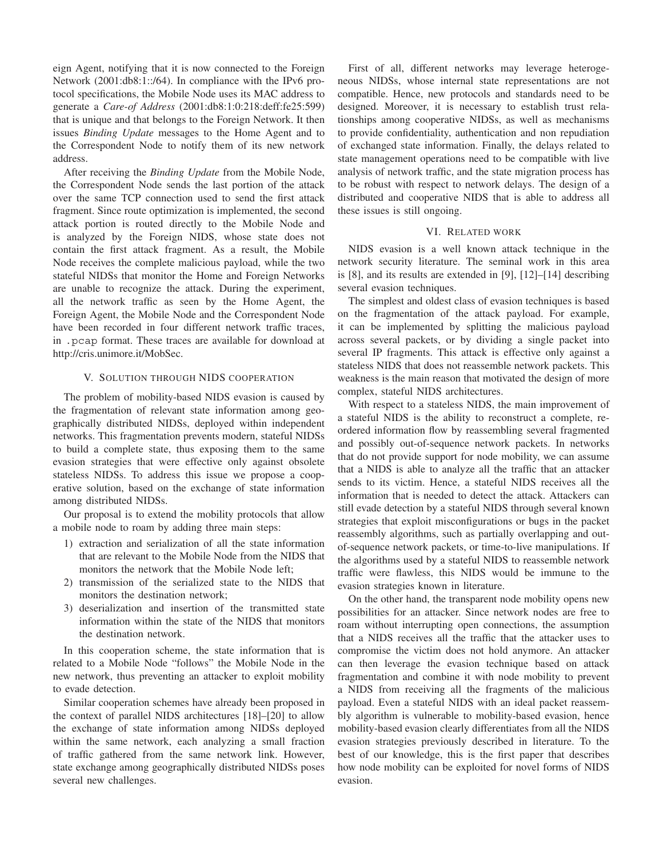eign Agent, notifying that it is now connected to the Foreign Network (2001:db8:1::/64). In compliance with the IPv6 protocol specifications, the Mobile Node uses its MAC address to generate a *Care-of Address* (2001:db8:1:0:218:deff:fe25:599) that is unique and that belongs to the Foreign Network. It then issues *Binding Update* messages to the Home Agent and to the Correspondent Node to notify them of its new network address.

After receiving the *Binding Update* from the Mobile Node, the Correspondent Node sends the last portion of the attack over the same TCP connection used to send the first attack fragment. Since route optimization is implemented, the second attack portion is routed directly to the Mobile Node and is analyzed by the Foreign NIDS, whose state does not contain the first attack fragment. As a result, the Mobile Node receives the complete malicious payload, while the two stateful NIDSs that monitor the Home and Foreign Networks are unable to recognize the attack. During the experiment, all the network traffic as seen by the Home Agent, the Foreign Agent, the Mobile Node and the Correspondent Node have been recorded in four different network traffic traces, in .pcap format. These traces are available for download at http://cris.unimore.it/MobSec.

# V. SOLUTION THROUGH NIDS COOPERATION

The problem of mobility-based NIDS evasion is caused by the fragmentation of relevant state information among geographically distributed NIDSs, deployed within independent networks. This fragmentation prevents modern, stateful NIDSs to build a complete state, thus exposing them to the same evasion strategies that were effective only against obsolete stateless NIDSs. To address this issue we propose a cooperative solution, based on the exchange of state information among distributed NIDSs.

Our proposal is to extend the mobility protocols that allow a mobile node to roam by adding three main steps:

- 1) extraction and serialization of all the state information that are relevant to the Mobile Node from the NIDS that monitors the network that the Mobile Node left;
- 2) transmission of the serialized state to the NIDS that monitors the destination network;
- 3) deserialization and insertion of the transmitted state information within the state of the NIDS that monitors the destination network.

In this cooperation scheme, the state information that is related to a Mobile Node "follows" the Mobile Node in the new network, thus preventing an attacker to exploit mobility to evade detection.

Similar cooperation schemes have already been proposed in the context of parallel NIDS architectures [18]–[20] to allow the exchange of state information among NIDSs deployed within the same network, each analyzing a small fraction of traffic gathered from the same network link. However, state exchange among geographically distributed NIDSs poses several new challenges.

First of all, different networks may leverage heterogeneous NIDSs, whose internal state representations are not compatible. Hence, new protocols and standards need to be designed. Moreover, it is necessary to establish trust relationships among cooperative NIDSs, as well as mechanisms to provide confidentiality, authentication and non repudiation of exchanged state information. Finally, the delays related to state management operations need to be compatible with live analysis of network traffic, and the state migration process has to be robust with respect to network delays. The design of a distributed and cooperative NIDS that is able to address all these issues is still ongoing.

# VI. RELATED WORK

NIDS evasion is a well known attack technique in the network security literature. The seminal work in this area is [8], and its results are extended in [9], [12]–[14] describing several evasion techniques.

The simplest and oldest class of evasion techniques is based on the fragmentation of the attack payload. For example, it can be implemented by splitting the malicious payload across several packets, or by dividing a single packet into several IP fragments. This attack is effective only against a stateless NIDS that does not reassemble network packets. This weakness is the main reason that motivated the design of more complex, stateful NIDS architectures.

With respect to a stateless NIDS, the main improvement of a stateful NIDS is the ability to reconstruct a complete, reordered information flow by reassembling several fragmented and possibly out-of-sequence network packets. In networks that do not provide support for node mobility, we can assume that a NIDS is able to analyze all the traffic that an attacker sends to its victim. Hence, a stateful NIDS receives all the information that is needed to detect the attack. Attackers can still evade detection by a stateful NIDS through several known strategies that exploit misconfigurations or bugs in the packet reassembly algorithms, such as partially overlapping and outof-sequence network packets, or time-to-live manipulations. If the algorithms used by a stateful NIDS to reassemble network traffic were flawless, this NIDS would be immune to the evasion strategies known in literature.

On the other hand, the transparent node mobility opens new possibilities for an attacker. Since network nodes are free to roam without interrupting open connections, the assumption that a NIDS receives all the traffic that the attacker uses to compromise the victim does not hold anymore. An attacker can then leverage the evasion technique based on attack fragmentation and combine it with node mobility to prevent a NIDS from receiving all the fragments of the malicious payload. Even a stateful NIDS with an ideal packet reassembly algorithm is vulnerable to mobility-based evasion, hence mobility-based evasion clearly differentiates from all the NIDS evasion strategies previously described in literature. To the best of our knowledge, this is the first paper that describes how node mobility can be exploited for novel forms of NIDS evasion.